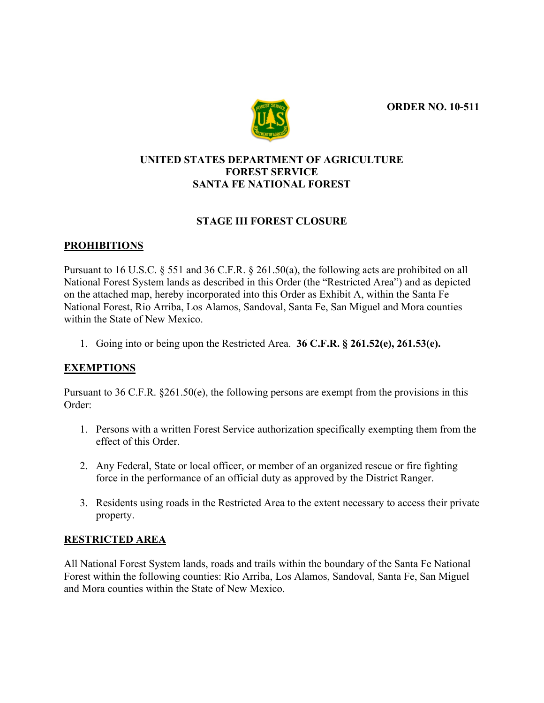**ORDER NO. 10-511**



# **UNITED STATES DEPARTMENT OF AGRICULTURE FOREST SERVICE SANTA FE NATIONAL FOREST**

# **STAGE III FOREST CLOSURE**

### **PROHIBITIONS**

Pursuant to 16 U.S.C. § 551 and 36 C.F.R. § 261.50(a), the following acts are prohibited on all National Forest System lands as described in this Order (the "Restricted Area") and as depicted on the attached map, hereby incorporated into this Order as Exhibit A, within the Santa Fe National Forest, Rio Arriba, Los Alamos, Sandoval, Santa Fe, San Miguel and Mora counties within the State of New Mexico.

1. Going into or being upon the Restricted Area. **36 C.F.R. § 261.52(e), 261.53(e).**

# **EXEMPTIONS**

Pursuant to 36 C.F.R. §261.50(e), the following persons are exempt from the provisions in this Order:

- 1. Persons with a written Forest Service authorization specifically exempting them from the effect of this Order.
- 2. Any Federal, State or local officer, or member of an organized rescue or fire fighting force in the performance of an official duty as approved by the District Ranger.
- 3. Residents using roads in the Restricted Area to the extent necessary to access their private property.

#### **RESTRICTED AREA**

All National Forest System lands, roads and trails within the boundary of the Santa Fe National Forest within the following counties: Rio Arriba, Los Alamos, Sandoval, Santa Fe, San Miguel and Mora counties within the State of New Mexico.